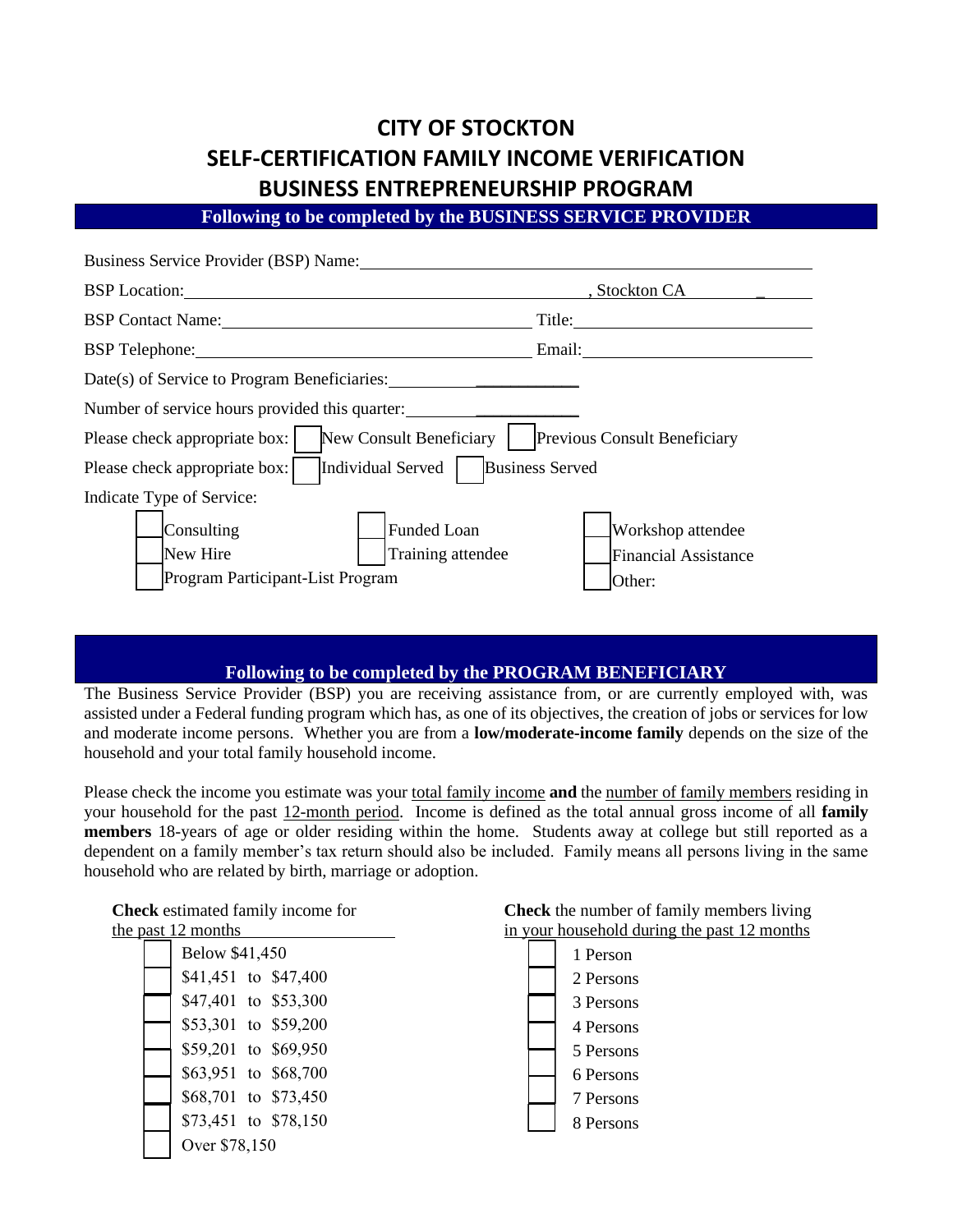# **CITY OF STOCKTON SELF-CERTIFICATION FAMILY INCOME VERIFICATION BUSINESS ENTREPRENEURSHIP PROGRAM**

**Following to be completed by the BUSINESS SERVICE PROVIDER** 

| Business Service Provider (BSP) Name:                                                   |                             |
|-----------------------------------------------------------------------------------------|-----------------------------|
| <b>BSP</b> Location:                                                                    | , Stockton CA               |
| <b>BSP Contact Name:</b>                                                                | Title:                      |
| BSP Telephone: No. 1996                                                                 | Email:                      |
| Date(s) of Service to Program Beneficiaries:                                            |                             |
| Number of service hours provided this quarter:                                          |                             |
| Please check appropriate box:<br>New Consult Beneficiary   Previous Consult Beneficiary |                             |
| Individual Served<br>Please check appropriate box:                                      | <b>Business Served</b>      |
| Indicate Type of Service:                                                               |                             |
| Funded Loan<br>Consulting                                                               | Workshop attendee           |
| New Hire<br>Training attendee                                                           | <b>Financial Assistance</b> |
| Program Participant-List Program                                                        | Other:                      |

## **Following to be completed by the PROGRAM BENEFICIARY**

The Business Service Provider (BSP) you are receiving assistance from, or are currently employed with, was assisted under a Federal funding program which has, as one of its objectives, the creation of jobs or services for low and moderate income persons. Whether you are from a **low/moderate-income family** depends on the size of the household and your total family household income.

Please check the income you estimate was your total family income **and** the number of family members residing in your household for the past 12-month period. Income is defined as the total annual gross income of all **family members** 18-years of age or older residing within the home. Students away at college but still reported as a dependent on a family member's tax return should also be included. Family means all persons living in the same household who are related by birth, marriage or adoption.

| <b>Check</b> estimated family income for | <b>Check</b> the number of family members living |
|------------------------------------------|--------------------------------------------------|
| the past 12 months                       | in your household during the past 12 months      |
| Below \$41,450                           | 1 Person                                         |
| \$41,451 to \$47,400                     | 2 Persons                                        |
| \$47,401 to \$53,300                     | 3 Persons                                        |
| \$53,301 to \$59,200                     | 4 Persons                                        |
| \$59,201 to \$69,950                     | 5 Persons                                        |
| \$63,951 to \$68,700                     | 6 Persons                                        |
| \$68,701 to \$73,450                     | 7 Persons                                        |
| \$73,451 to \$78,150                     | 8 Persons                                        |
| Over \$78,150                            |                                                  |